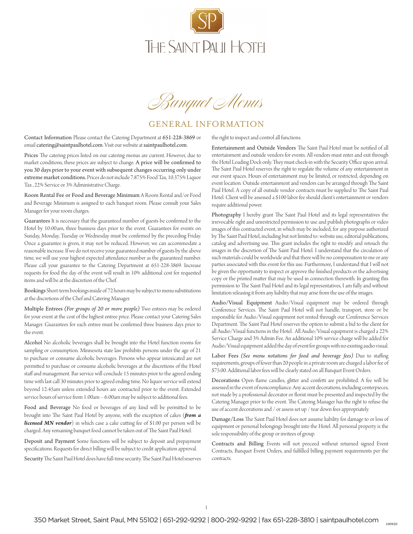

*Banquet Menus*

### GENERAL INFORMATION

Contact Information Please contact the Catering Department at 651-228-3869 or email catering@saintpaulhotel.com. Visit our website at saintpaulhotel.com.

Prices The catering prices listed on our catering menus are current. However, due to market conditions, these prices are subject to change. A price will be confirmed to you 30 days prior to your event with subsequent changes occurring only under extreme market conditions. Prices do not include 7.875% Food Tax, 10.375% Liquor Tax , 22% Service or 3% Administrative Charge.

Room Rental Fee or Food and Beverage Minimum A Room Rental and/or Food and Beverage Minimum is assigned to each banquet room. Please consult your Sales Manager for your room charges.

Guarantees It is necessary that the guaranteed number of guests be confirmed to the Hotel by 10:00am, three business days prior to the event. Guarantees for events on Sunday, Monday, Tuesday or Wednesday must be confirmed by the preceding Friday. Once a guarantee is given, it may not be reduced. However, we can accommodate a reasonable increase. If we do not receive your guaranteed number of guests by the above time, we will use your highest expected attendance number as the guaranteed number. Please call your guarantee to the Catering Department at 651-228-3869. Increase requests for food the day of the event will result in 10% additional cost for requested items and will be at the discretion of the Chef.

Bookings Short-term bookings inside of 72 hours may be subject to menu substitutions at the discretions of the Chef and Catering Manager.

Multiple Entrees *(For groups of 20 or more people)* Two entrees may be ordered for your event at the cost of the highest entree price. Please contact your Catering Sales Manager. Guarantees for each entree must be confirmed three business days prior to the event.

Alcohol No alcoholic beverages shall be brought into the Hotel function rooms for sampling or consumption. Minnesota state law prohibits persons under the age of 21 to purchase or consume alcoholic beverages. Persons who appear intoxicated are not permitted to purchase or consume alcoholic beverages at the discretions of the Hotel staff and management. Bar service will conclude 15 minutes prior to the agreed ending time with last call 30 minutes prior to agreed ending time. No liquor service will extend beyond 12:45am unless extended hours are contracted prior to the event. Extended service hours of service from 1:00am – 6:00am may be subject to additional fees.

Food and Beverage No food or beverages of any kind will be permitted to be brought into The Saint Paul Hotel by anyone, with the exception of cakes (*from a licensed MN vendor*) in which case a cake cutting fee of \$1.00 per person will be charged. Any remaining banquet food cannot be taken out of The Saint Paul Hotel.

Deposit and Payment Some functions will be subject to deposit and prepayment specifications. Requests for direct billing will be subject to credit application approval.

Security The Saint Paul Hotel does have full-time security. The Saint Paul Hotel reserves

the right to inspect and control all functions.

Entertainment and Outside Vendors The Saint Paul Hotel must be notified of all entertainment and outside vendors for events. All vendors must enter and exit through the Hotel Loading Dock only. They must check-in with the Security Office upon arrival. The Saint Paul Hotel reserves the right to regulate the volume of any entertainment in our event spaces. Hours of entertainment may be limited, or restricted, depending on event location. Outside entertainment and vendors can be arranged through The Saint Paul Hotel. A copy of all outside vendor contracts must be supplied to The Saint Paul Hotel. Client will be assessed a \$100 labor fee should client's entertainment or vendors require additional power.

Photography I hereby grant The Saint Paul Hotel and its legal representatives the irrevocable right and unrestricted permission to use and publish photographs or video images of this contracted event, in which may be included, for any purpose authorized by The Saint Paul Hotel, including but not limited to: website use, editorial publications, catalog and advertising use. This grant includes the right to modify and retouch the images in the discretion of The Saint Paul Hotel. I understand that the circulation of such materials could be worldwide and that there will be no compensation to me or any parties associated with this event for this use. Furthermore, I understand that I will not be given the opportunity to inspect or approve the finished products or the advertising copy or the printed matter that may be used in connection therewith. In granting this permission to The Saint Paul Hotel and its legal representatives, I am fully and without limitation releasing it from any liability that may arise from the use of the images.

Audio/Visual Equipment Audio/Visual equipment may be ordered through Conference Services. The Saint Paul Hotel will not handle, transport, store or be responsible for Audio/Visual equipment not rented through our Conference Services Department. The Saint Paul Hotel reserves the option to submit a bid to the client for all Audio/Visual functions in the Hotel. All Audio/Visual equipment is charged a 22% Service Charge and 3% Admin Fee. An additional 10% service charge will be added for Audio/Visual equipment added the day of event for groups with no existing audio visual.

Labor Fees *(See menu notations for food and beverage fees)* Due to staffing requirements, groups of fewer than 20 people in a private room are charged a labor fee of \$75.00. Additional labor fees will be clearly stated on all Banquet Event Orders.

Decorations Open flame candles, glitter and confetti are prohibited. A fee will be assessed in the event of noncompliance. Any accent decorations, including centerpieces, not made by a professional decorator or florist must be presented and inspected by the Catering Manager prior to the event. The Catering Manager has the right to refuse the use of accent decorations and / or assess set up / tear down fees appropriately.

Damage/Loss The Saint Paul Hotel does not assume liability for damage to or loss of equipment or personal belongings brought into the Hotel. All personal property is the sole responsibility of the group or invitees of group.

Contracts and Billing Events will not proceed without returned signed Event Contracts, Banquet Event Orders, and fulfilled billing payment requirements per the contracts.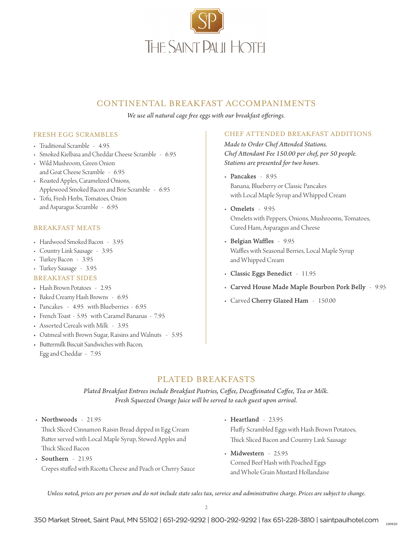![](_page_1_Picture_0.jpeg)

### CONTINENTAL BREAKFAST ACCOMPANIMENTS

*We use all natural cage free eggs with our breakfast offerings.*

#### FRESH EGG SCRAMBLES

- Traditional Scramble 4.95
- Smoked Kielbasa and Cheddar Cheese Scramble 6.95
- Wild Mushroom, Green Onion and Goat Cheese Scramble - 6.95
- Roasted Apples, Caramelized Onions, Applewood Smoked Bacon and Brie Scramble - 6.95
- Tofu, Fresh Herbs, Tomatoes, Onion and Asparagus Scramble - 6.95

#### BREAKFAST MEATS

- Hardwood Smoked Bacon 3.95
- Country Link Sausage 3.95
- Turkey Bacon 3.95
- Turkey Sausage 3.95

#### BREAKFAST SIDES

- Hash Brown Potatoes 2.95
- Baked Creamy Hash Browns 6.95
- Pancakes 4.95 with Blueberries 6.95
- French Toast 5.95 with Caramel Bananas 7.95
- Assorted Cereals with Milk 3.95
- Oatmeal with Brown Sugar, Raisins and Walnuts 5.95
- Buttermilk Biscuit Sandwiches with Bacon, Egg and Cheddar - 7.95

#### CHEF ATTENDED BREAKFAST ADDITIONS

*Made to Order Chef Attended Stations. Chef Attendant Fee 150.00 per chef, per 50 people. Stations are presented for two hours.* 

- Pancakes 8.95 Banana, Blueberry or Classic Pancakes with Local Maple Syrup and Whipped Cream
- Omelets 9.95 Omelets with Peppers, Onions, Mushrooms, Tomatoes, Cured Ham, Asparagus and Cheese
- Belgian Waffles 9.95 Waffles with Seasonal Berries, Local Maple Syrup and Whipped Cream
- Classic Eggs Benedict 11.95
- Carved House Made Maple Bourbon Pork Belly 9.95
- Carved Cherry Glazed Ham 150.00

### PLATED BREAKFASTS

*Plated Breakfast Entrees include Breakfast Pastries, Coffee, Decaffeinated Coffee, Tea or Milk. Fresh Squeezed Orange Juice will be served to each guest upon arrival.*

• Northwoods - 21.95

Thick Sliced Cinnamon Raisin Bread dipped in Egg Cream Batter served with Local Maple Syrup, Stewed Apples and Thick Sliced Bacon

- Southern 21.95 Crepes stuffed with Ricotta Cheese and Peach or Cherry Sauce
- Heartland 23.95 Fluffy Scrambled Eggs with Hash Brown Potatoes, Thick Sliced Bacon and Country Link Sausage
- Midwestern 25.95 Corned Beef Hash with Poached Eggs and Whole Grain Mustard Hollandaise

*Unless noted, prices are per person and do not include state sales tax, service and administrative charge. Prices are subject to change.*

350 Market Street, Saint Paul, MN 55102 | 651-292-9292 | 800-292-9292 | fax 651-228-3810 | saintpaulhotel.com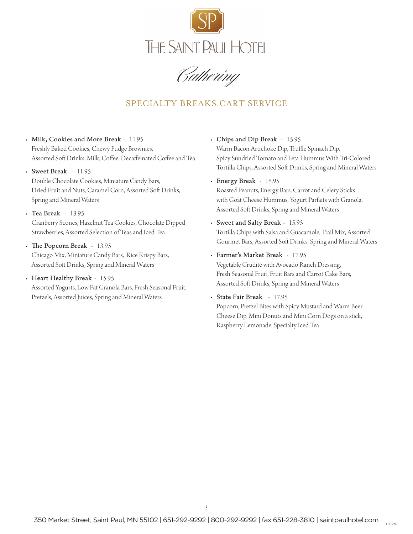![](_page_2_Picture_0.jpeg)

## SPECIALTY BREAKS CART SERVICE

- Milk, Cookies and More Break 11.95 Freshly Baked Cookies, Chewy Fudge Brownies, Assorted Soft Drinks, Milk, Coffee, Decaffeinated Coffee and Tea
- Sweet Break 11.95 Double Chocolate Cookies, Miniature Candy Bars, Dried Fruit and Nuts, Caramel Corn, Assorted Soft Drinks, Spring and Mineral Waters
- Tea Break 13.95 Cranberry Scones, Hazelnut Tea Cookies, Chocolate Dipped Strawberries, Assorted Selection of Teas and Iced Tea
- The Popcorn Break 13.95 Chicago Mix, Miniature Candy Bars, Rice Krispy Bars, Assorted Soft Drinks, Spring and Mineral Waters
- Heart Healthy Break 15.95

Assorted Yogurts, Low Fat Granola Bars, Fresh Seasonal Fruit, Pretzels, Assorted Juices, Spring and Mineral Waters

- Chips and Dip Break 15.95 Warm Bacon Artichoke Dip, Truffle Spinach Dip, Spicy Sundried Tomato and Feta Hummus With Tri-Colored Tortilla Chips, Assorted Soft Drinks, Spring and Mineral Waters
- Energy Break 15.95

Roasted Peanuts, Energy Bars, Carrot and Celery Sticks with Goat Cheese Hummus, Yogurt Parfaits with Granola, Assorted Soft Drinks, Spring and Mineral Waters

- Sweet and Salty Break 15.95 Tortilla Chips with Salsa and Guacamole, Trail Mix, Assorted Gourmet Bars, Assorted Soft Drinks, Spring and Mineral Waters
- Farmer's Market Break 17.95 Vegetable Crudité with Avocado Ranch Dressing,

Fresh Seasonal Fruit, Fruit Bars and Carrot Cake Bars, Assorted Soft Drinks, Spring and Mineral Waters

• State Fair Break - 17.95 Popcorn, Pretzel Bites with Spicy Mustard and Warm Beer Cheese Dip, Mini Donuts and Mini Corn Dogs on a stick, Raspberry Lemonade, Specialty Iced Tea

350 Market Street, Saint Paul, MN 55102 | 651-292-9292 | 800-292-9292 | fax 651-228-3810 | saintpaulhotel.com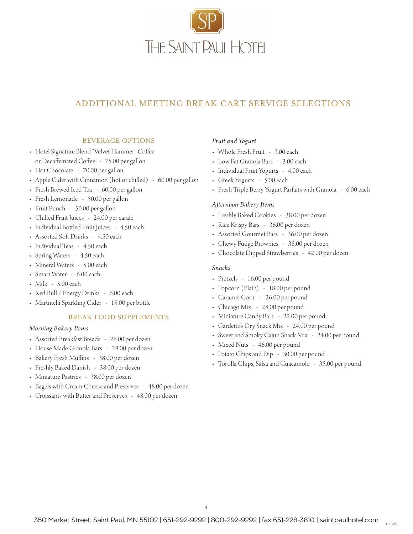![](_page_3_Picture_0.jpeg)

## ADDITIONAL MEETING BREAK CART SERVICE SELECTIONS

#### BEVERAGE OPTIONS

- Hotel Signature Blend "Velvet Hammer" Coffee or Decaffeinated Coffee - 75.00 per gallon
- Hot Chocolate 70.00 per gallon
- Apple Cider with Cinnamon (hot or chilled) 60.00 per gallon
- Fresh Brewed Iced Tea 60.00 per gallon
- Fresh Lemonade 50.00 per gallon
- Fruit Punch 50.00 per gallon
- Chilled Fruit Juices 24.00 per carafe
- Individual Bottled Fruit Juices 4.50 each
- Assorted Soft Drinks 4.50 each
- Individual Teas 4.50 each
- Spring Waters 4.50 each
- Mineral Waters 5.00 each
- Smart Water 6.00 each
- Milk 5.00 each
- Red Bull / Energy Drinks 6.00 each
- Martinelli Sparkling Cider 15.00 per bottle

#### BREAK FOOD SUPPLEMENTS

#### *Morning Bakery Items*

- Assorted Breakfast Breads 26.00 per dozen
- House Made Granola Bars 28.00 per dozen
- Bakery Fresh Muffins 38.00 per dozen
- Freshly Baked Danish 38.00 per dozen
- Miniature Pastries 38.00 per dozen
- Bagels with Cream Cheese and Preserves 48.00 per dozen
- Croissants with Butter and Preserves 48.00 per dozen

#### *Fruit and Yogurt*

- Whole Fresh Fruit 3.00 each
- Low Fat Granola Bars 3.00 each
- Individual Fruit Yogurts 4.00 each
- Greek Yogurts 5.00 each
- Fresh Triple Berry Yogurt Parfaits with Granola 6.00 each

#### *Afternoon Bakery Items*

- Freshly Baked Cookies 38.00 per dozen
- Rice Krispy Bars 36.00 per dozen
- Assorted Gourmet Bars 36.00 per dozen
- Chewy Fudge Brownies 38.00 per dozen
- Chocolate Dipped Strawberries 42.00 per dozen

#### *Snacks*

- Pretzels 16.00 per pound
- Popcorn (Plain) 18.00 per pound
- Caramel Corn 26.00 per pound
- Chicago Mix 28.00 per pound
- Miniature Candy Bars 22.00 per pound
- Gardetto's Dry Snack Mix 24.00 per pound
- Sweet and Smoky Cajun Snack Mix 24.00 per pound
- Mixed Nuts 46.00 per pound
- Potato Chips and Dip 30.00 per pound
- Tortilla Chips, Salsa and Guacamole 35.00 per pound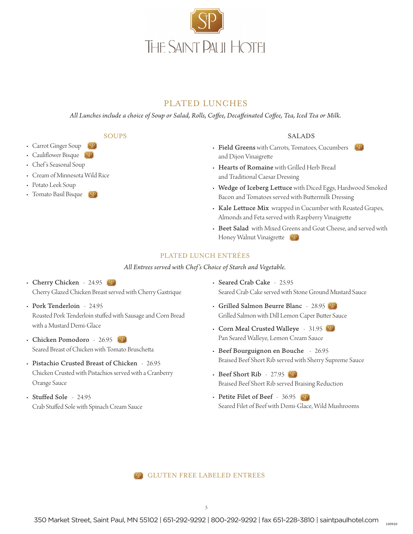![](_page_4_Picture_0.jpeg)

## PLATED LUNCHES

*All Lunches include a choice of Soup or Salad, Rolls, Coffee, Decaffeinated Coffee, Tea, Iced Tea or Milk.*

SOUPS

- Carrot Ginger Soup
- Cauliflower Bisque (SP)
- Chef 's Seasonal Soup
- Cream of Minnesota Wild Rice
- Potato Leek Soup
- Tomato Basil Bisque (SP)

#### SALADS

- Field Greens with Carrots, Tomatoes, Cucumbers (SP) and Dijon Vinaigrette
- Hearts of Romaine with Grilled Herb Bread and Traditional Caesar Dressing
- Wedge of Iceberg Lettuce with Diced Eggs, Hardwood Smoked Bacon and Tomatoes served with Buttermilk Dressing
- Kale Lettuce Mix wrapped in Cucumber with Roasted Grapes, Almonds and Feta served with Raspberry Vinaigrette
- Beet Salad with Mixed Greens and Goat Cheese, and served with Honey Walnut Vinaigrette (SP)

#### PLATED LUNCH ENTRÉES

*All Entrees served with Chef's Choice of Starch and Vegetable.*

- Cherry Chicken 24.95 [SP] Cherry Glazed Chicken Breast served with Cherry Gastrique
- Pork Tenderloin 24.95 Roasted Pork Tenderloin stuffed with Sausage and Corn Bread with a Mustard Demi-Glace
- Chicken Pomodoro 26.95 [SP] Seared Breast of Chicken with Tomato Bruschetta
- Pistachio Crusted Breast of Chicken 26.95 Chicken Crusted with Pistachios served with a Cranberry Orange Sauce
- Stuffed Sole 24.95 Crab Stuffed Sole with Spinach Cream Sauce
- Seared Crab Cake 25.95 Seared Crab Cake served with Stone Ground Mustard Sauce
- Grilled Salmon Beurre Blanc 28.95 Grilled Salmon with Dill Lemon Caper Butter Sauce
- Corn Meal Crusted Walleye 31.95 Pan Seared Walleye, Lemon Cream Sauce
- Beef Bourguignon en Bouche 26.95 Braised Beef Short Rib served with Sherry Supreme Sauce
- Beef Short Rib 27.95 Braised Beef Short Rib served Braising Reduction
- Petite Filet of Beef 36.95 Seared Filet of Beef with Demi-Glace, Wild Mushrooms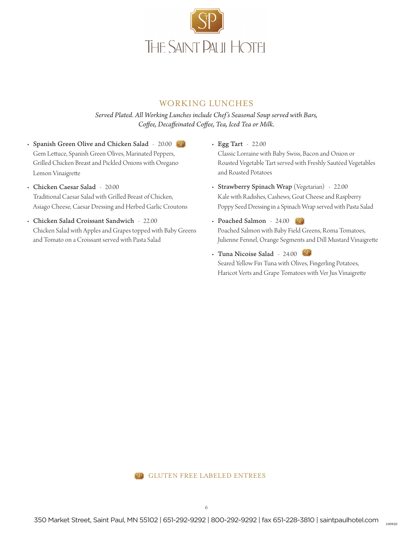![](_page_5_Picture_0.jpeg)

### WORKING LUNCHES

*Served Plated. All Working Lunches include Chef's Seasonal Soup served with Bars, Coffee, Decaffeinated Coffee, Tea, Iced Tea or Milk.*

- Spanish Green Olive and Chicken Salad 20.00 (SP) Gem Lettuce, Spanish Green Olives, Marinated Peppers, Grilled Chicken Breast and Pickled Onions with Oregano Lemon Vinaigrette
- Chicken Caesar Salad 20.00 Traditional Caesar Salad with Grilled Breast of Chicken, Asiago Cheese, Caesar Dressing and Herbed Garlic Croutons
- Chicken Salad Croissant Sandwich 22.00 Chicken Salad with Apples and Grapes topped with Baby Greens and Tomato on a Croissant served with Pasta Salad
- Egg Tart 22.00 Classic Lorraine with Baby Swiss, Bacon and Onion or Roasted Vegetable Tart served with Freshly Sautéed Vegetables and Roasted Potatoes
- Strawberry Spinach Wrap (Vegetarian) 22.00 Kale with Radishes, Cashews, Goat Cheese and Raspberry Poppy Seed Dressing in a Spinach Wrap served with Pasta Salad
- Poached Salmon 24.00 (SP) Poached Salmon with Baby Field Greens, Roma Tomatoes, Julienne Fennel, Orange Segments and Dill Mustard Vinaigrette
- Tuna Nicoise Salad 24.00 Seared Yellow Fin Tuna with Olives, Fingerling Potatoes, Haricot Verts and Grape Tomatoes with Ver Jus Vinaigrette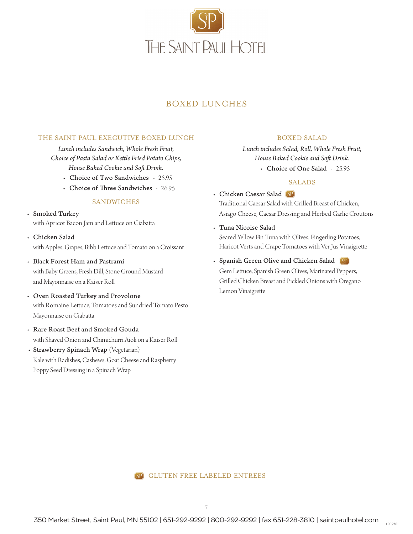![](_page_6_Picture_0.jpeg)

## BOXED LUNCHES

#### THE SAINT PAUL EXECUTIVE BOXED LUNCH

*Lunch includes Sandwich, Whole Fresh Fruit, Choice of Pasta Salad or Kettle Fried Potato Chips, House Baked Cookie and Soft Drink.*

- Choice of Two Sandwiches 25.95
- Choice of Three Sandwiches 26.95

#### SANDWICHES

• Smoked Turkey with Apricot Bacon Jam and Lettuce on Ciabatta

- Chicken Salad with Apples, Grapes, Bibb Lettuce and Tomato on a Croissant
- Black Forest Ham and Pastrami with Baby Greens, Fresh Dill, Stone Ground Mustard and Mayonnaise on a Kaiser Roll
- Oven Roasted Turkey and Provolone with Romaine Lettuce, Tomatoes and Sundried Tomato Pesto Mayonnaise on Ciabatta
- Rare Roast Beef and Smoked Gouda with Shaved Onion and Chimichurri Aioli on a Kaiser Roll
- Strawberry Spinach Wrap (Vegetarian) Kale with Radishes, Cashews, Goat Cheese and Raspberry Poppy Seed Dressing in a Spinach Wrap

#### BOXED SALAD

*Lunch includes Salad, Roll, Whole Fresh Fruit, House Baked Cookie and Soft Drink.*

• Choice of One Salad - 25.95

#### SALADS

- Chicken Caesar Salad Traditional Caesar Salad with Grilled Breast of Chicken, Asiago Cheese, Caesar Dressing and Herbed Garlic Croutons
- Tuna Nicoise Salad Seared Yellow Fin Tuna with Olives, Fingerling Potatoes, Haricot Verts and Grape Tomatoes with Ver Jus Vinaigrette
- Spanish Green Olive and Chicken Salad Gem Lettuce, Spanish Green Olives, Marinated Peppers, Grilled Chicken Breast and Pickled Onions with Oregano Lemon Vinaigrette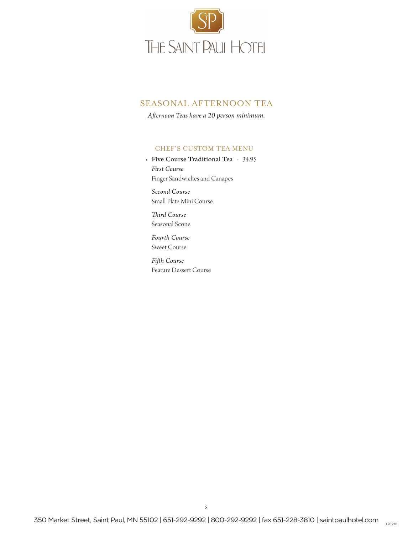![](_page_7_Picture_0.jpeg)

### SEASONAL AFTERNOON TEA

*Afternoon Teas have a 20 person minimum.*

#### CHEF'S CUSTOM TEA MENU

• Five Course Traditional Tea - 34.95 *First Course* Finger Sandwiches and Canapes

 *Second Course* Small Plate Mini Course

 *Third Course* Seasonal Scone

 *Fourth Course* Sweet Course

*Fifth Course* Feature Dessert Course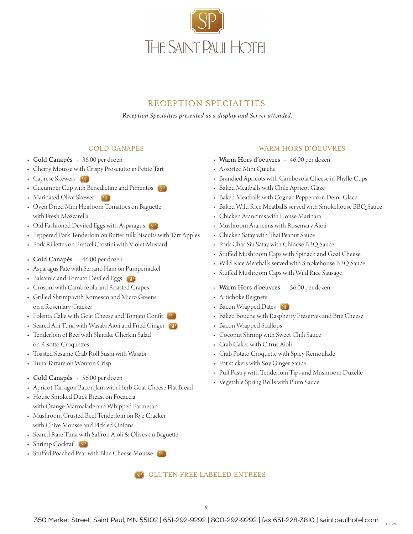![](_page_8_Picture_0.jpeg)

## RECEPTION SPECIALTIES

*Reception Specialties presented as a display and Server attended.*

#### COLD CANAPÉS

- Cold Canapés 36.00 per dozen
- Cherry Mousse with Crispy Prosciutto in Petite Tart
- Caprese Skewers [SP]
- Cucumber Cup with Benedictine and Pimentos (SP)
- Marinated Olive Skewer  $(SP)$
- Oven Dried Mini Heirloom Tomatoes on Baguette with Fresh Mozzarella
- Old Fashioned Deviled Eggs with Asparagus
- Peppered Pork Tenderloin on Buttermilk Biscuits with Tart Apples
- Pork Rillettes on Pretzel Crostini with Violet Mustard
- Cold Canapés 46.00 per dozen
- Asparagus Pate with Serrano Ham on Pumpernickel
- Balsamic and Tomato Deviled Eggs (SP)
- Crostini with Cambozola and Roasted Grapes
- Grilled Shrimp with Romesco and Micro Greens on a Rosemary Cracker
- Polenta Cake with Goat Cheese and Tomato Confit (SP)
- Seared Ahi Tuna with Wasabi Aioli and Fried Ginger (SP)
- Tenderloin of Beef with Shiitake Gherkin Salad on Risotto Croquettes
- Toasted Sesame Crab Roll Sushi with Wasabi
- Tuna Tartare on Wonton Crisp
- Cold Canapés 56.00 per dozen
- Apricot Tarragon Bacon Jam with Herb Goat Cheese Flat Bread
- House Smoked Duck Breast on Focaccia with Orange Marmalade and Whipped Parmesan
- Mushroom Crusted Beef Tenderloin on Rye Cracker with Chive Mousse and Pickled Onions
- Seared Rare Tuna with Saffron Aioli & Olives on Baguette
- Shrimp Cocktail (SP)
- Stuffed Poached Pear with Blue Cheese Mousse

### GLUTEN FREE LABELED ENTREES

#### WARM HORS D'OEUVRES

- Warm Hors d'oeuvres 46.00 per dozen
- Assorted Mini Quiche
- Brandied Apricots with Cambozola Cheese in Phyllo Cups
- Baked Meatballs with Chile Apricot Glaze
- Baked Meatballs with Cognac Peppercorn Demi-Glace
- Baked Wild Rice Meatballs served with Smokehouse BBQ Sauce
- Chicken Arancinis with House Marinara
- Mushroom Arancinis with Rosemary Aioli
- Chicken Satay with Thai Peanut Sauce
- Pork Char Siu Satay with Chinese BBQ Sauce
- Stuffed Mushroom Caps with Spinach and Goat Cheese
- Wild Rice Meatballs served with Smokehouse BBQ Sauce
- Stuffed Mushroom Caps with Wild Rice Sausage
- Warm Hors d'oeuvres 56.00 per dozen
- Artichoke Beignets
- Bacon Wrapped Dates (SP)
- Baked Bouche with Raspberry Preserves and Brie Cheese
- Bacon Wrapped Scallops
- Coconut Shrimp with Sweet Chili Sauce
- Crab Cakes with Citrus Aioli
- Crab Potato Croquette with Spicy Remoulade
- Pot stickers with Soy Ginger Sauce
- Puff Pastry with Tenderloin Tips and Mushroom Duxelle
- Vegetable Spring Rolls with Plum Sauce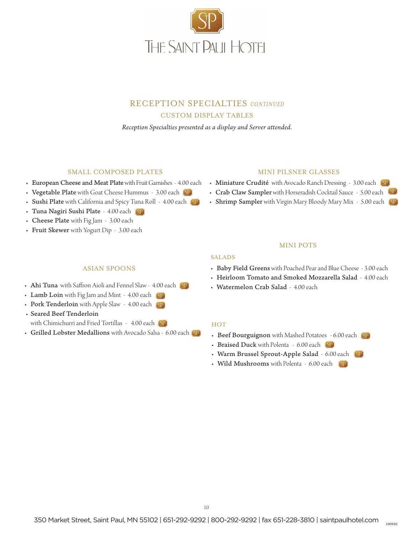![](_page_9_Picture_0.jpeg)

### RECEPTION SPECIALTIES *CONTINUED* CUSTOM DISPLAY TABLES

*Reception Specialties presented as a display and Server attended.*

#### SMALL COMPOSED PLATES

- European Cheese and Meat Plate with Fruit Garnishes 4.00 each
- Vegetable Plate with Goat Cheese Hummus 3.00 each (SP)
- Sushi Plate with California and Spicy Tuna Roll 4.00 each (SP)
- Tuna Nagiri Sushi Plate 4.00 each
- Cheese Plate with Fig Jam 3.00 each
- Fruit Skewer with Yogurt Dip 3.00 each

#### MINI PILSNER GLASSES

- Miniature Crudité with Avocado Ranch Dressing 3.00 each (SP)
- Crab Claw Sampler with Horseradish Cocktail Sauce 5.00 each
- Shrimp Sampler with Virgin Mary Bloody Mary Mix 5.00 each

#### MINI POTS

#### SALADS

- Baby Field Greens with Poached Pear and Blue Cheese 3.00 each
- Heirloom Tomato and Smoked Mozzarella Salad 4.00 each
- Watermelon Crab Salad 4.00 each

#### **HOT**

- Beef Bourguignon with Mashed Potatoes 6.00 each
- Braised Duck with Polenta 6.00 each
- Warm Brussel Sprout-Apple Salad 6.00 each
- Wild Mushrooms with Polenta 6.00 each [SP]

#### ASIAN SPOONS

- Ahi Tuna with Saffron Aioli and Fennel Slaw 4.00 each (SP)
- Lamb Loin with Fig Jam and Mint 4.00 each [SP]
- Pork Tenderloin with Apple Slaw 4.00 each [SP]
- Seared Beef Tenderloin with Chimichurri and Fried Tortillas - 4.00 each (SP)
- Grilled Lobster Medallions with Avocado Salsa 6.00 each

350 Market Street, Saint Paul, MN 55102 | 651-292-9292 | 800-292-9292 | fax 651-228-3810 | saintpaulhotel.com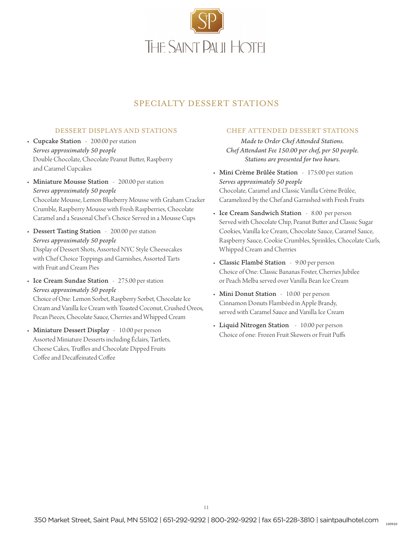![](_page_10_Picture_0.jpeg)

## SPECIALTY DESSERT STATIONS

#### DESSERT DISPLAYS AND STATIONS

- Cupcake Station 200.00 per station *Serves approximately 50 people* Double Chocolate, Chocolate Peanut Butter, Raspberry and Caramel Cupcakes
- Miniature Mousse Station 200.00 per station *Serves approximately 50 people* Chocolate Mousse, Lemon Blueberry Mousse with Graham Cracker Crumble, Raspberry Mousse with Fresh Raspberries, Chocolate Caramel and a Seasonal Chef 's Choice Served in a Mousse Cups
- Dessert Tasting Station 200.00 per station *Serves approximately 50 people* Display of Dessert Shots, Assorted NYC Style Cheesecakes with Chef Choice Toppings and Garnishes, Assorted Tarts with Fruit and Cream Pies
- Ice Cream Sundae Station 275.00 per station *Serves approximately 50 people* Choice of One: Lemon Sorbet, Raspberry Sorbet, Chocolate Ice Cream and Vanilla Ice Cream with Toasted Coconut, Crushed Oreos, Pecan Pieces, Chocolate Sauce, Cherries and Whipped Cream
- Miniature Dessert Display 10.00 per person Assorted Miniature Desserts including Éclairs, Tartlets, Cheese Cakes, Truffles and Chocolate Dipped Fruits Coffee and Decaffeinated Coffee

#### CHEF ATTENDED DESSERT STATIONS

*Made to Order Chef Attended Stations. Chef Attendant Fee 150.00 per chef, per 50 people. Stations are presented for two hours.* 

- Mini Crème Brûlée Station 175.00 per station *Serves approximately 50 people* Chocolate, Caramel and Classic Vanilla Crème Brûlée, Caramelized by the Chef and Garnished with Fresh Fruits
- Ice Cream Sandwich Station 8.00 per person Served with Chocolate Chip, Peanut Butter and Classic Sugar Cookies, Vanilla Ice Cream, Chocolate Sauce, Caramel Sauce, Raspberry Sauce, Cookie Crumbles, Sprinkles, Chocolate Curls, Whipped Cream and Cherries
- Classic Flambé Station 9.00 per person Choice of One: Classic Bananas Foster, Cherries Jubilee or Peach Melba served over Vanilla Bean Ice Cream
- Mini Donut Station 10.00 per person Cinnamon Donuts Flambéed in Apple Brandy, served with Caramel Sauce and Vanilla Ice Cream
- Liquid Nitrogen Station 10.00 per person Choice of one: Frozen Fruit Skewers or Fruit Puffs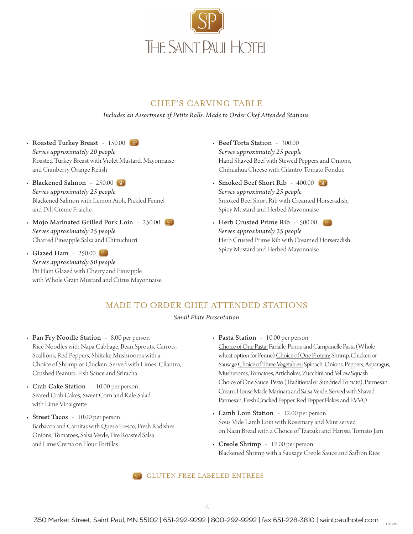![](_page_11_Picture_0.jpeg)

### CHEF'S CARVING TABLE

*Includes an Assortment of Petite Rolls. Made to Order Chef Attended Stations.* 

- Roasted Turkey Breast 150.00 [SP] *Serves approximately 20 people* Roasted Turkey Breast with Violet Mustard, Mayonnaise and Cranberry Orange Relish
- Blackened Salmon 250.00 (SP) *Serves approximately 25 people* Blackened Salmon with Lemon Aioli, Pickled Fennel and Dill Crème Fraiche
- Mojo Marinated Grilled Pork Loin 250.00 *Serves approximately 25 people* Charred Pineapple Salsa and Chimichurri
- Glazed Ham 250.00 (SP) *Serves approximately 50 people* Pit Ham Glazed with Cherry and Pineapple with Whole Grain Mustard and Citrus Mayonnaise
- Beef Torta Station 300.00 *Serves approximately 25 people* Hand Shaved Beef with Stewed Peppers and Onions, Chihuahua Cheese with Cilantro Tomato Fondue
- Smoked Beef Short Rib 400.00 SP *Serves approximately 25 people* Smoked Beef Short Rib with Creamed Horseradish, Spicy Mustard and Herbed Mayonnaise
- Herb Crusted Prime Rib 500.00 *Serves approximately 25 people* Herb Crusted Prime Rib with Creamed Horseradish, Spicy Mustard and Herbed Mayonnaise

### MADE TO ORDER CHEF ATTENDED STATIONS

#### *Small Plate Presentation*

- Pan Fry Noodle Station 8.00 per person Rice Noodles with Napa Cabbage, Bean Sprouts, Carrots, Scallions, Red Peppers, Shiitake Mushrooms with a Choice of Shrimp or Chicken. Served with Limes, Cilantro, Crushed Peanuts, Fish Sauce and Sriracha
- Crab Cake Station 10.00 per person Seared Crab Cakes, Sweet Corn and Kale Salad with Lime Vinaigrette
- Street Tacos 10.00 per person Barbacoa and Carnitas with Queso Fresco, Fresh Radishes, Onions, Tomatoes, Salsa Verde, Fire Roasted Salsa and Lime Crema on Flour Tortillas
- Pasta Station 10.00 per person Choice of One Pasta: Farfalle, Penne and Campanelle Pasta (Whole wheat option for Penne) Choice of One Protein: Shrimp, Chicken or Sausage Choice of Three Vegetables: Spinach, Onions, Peppers, Asparagus, Mushrooms, Tomatoes, Artichokes, Zucchini and Yellow Squash Choice of One Sauce: Pesto (Traditional or Sundried Tomato), Parmesan Cream, House Made Marinara and Salsa Verde. Served with Shaved Parmesan, Fresh Cracked Pepper, Red Pepper Flakes and EVVO
- Lamb Loin Station 12.00 per person Sous Vide Lamb Loin with Rosemary and Mint served on Naan Bread with a Choice of Tzatziki and Harissa Tomato Jam
- Creole Shrimp 12.00 per person Blackened Shrimp with a Sausage Creole Sauce and Saffron Rice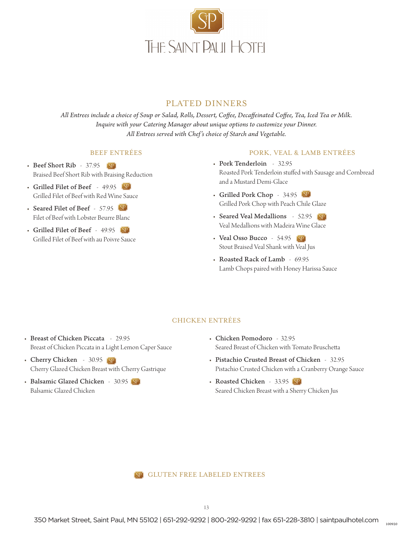![](_page_12_Picture_0.jpeg)

### PLATED DINNERS

*All Entrees include a choice of Soup or Salad, Rolls, Dessert, Coffee, Decaffeinated Coffee, Tea, Iced Tea or Milk. Inquire with your Catering Manager about unique options to customize your Dinner. All Entrees served with Chef's choice of Starch and Vegetable.*

#### BEEF ENTRÉES

- Beef Short Rib 37.95 (SP) Braised Beef Short Rib with Braising Reduction
- Grilled Filet of Beef 49.95 Grilled Filet of Beef with Red Wine Sauce
- Seared Filet of Beef 57.95 Filet of Beef with Lobster Beurre Blanc
- Grilled Filet of Beef 49.95 Grilled Filet of Beef with au Poivre Sauce

#### PORK, VEAL & LAMB ENTRÉES

- Pork Tenderloin 32.95 Roasted Pork Tenderloin stuffed with Sausage and Cornbread and a Mustard Demi-Glace
- Grilled Pork Chop 34.95 Grilled Pork Chop with Peach Chile Glaze
- Seared Veal Medallions 52.95 (SP) Veal Medallions with Madeira Wine Glace
- Veal Osso Bucco 54.95 (SP) Stout Braised Veal Shank with Veal Jus
- Roasted Rack of Lamb 69.95 Lamb Chops paired with Honey Harissa Sauce

#### CHICKEN ENTRÉES

- Breast of Chicken Piccata 29.95 Breast of Chicken Piccata in a Light Lemon Caper Sauce
- Cherry Chicken 30.95 (SP) Cherry Glazed Chicken Breast with Cherry Gastrique
- Balsamic Glazed Chicken 30.95 (SP) Balsamic Glazed Chicken
- Chicken Pomodoro 32.95 Seared Breast of Chicken with Tomato Bruschetta
- Pistachio Crusted Breast of Chicken 32.95 Pistachio Crusted Chicken with a Cranberry Orange Sauce
- Roasted Chicken 33.95 (SP) Seared Chicken Breast with a Sherry Chicken Jus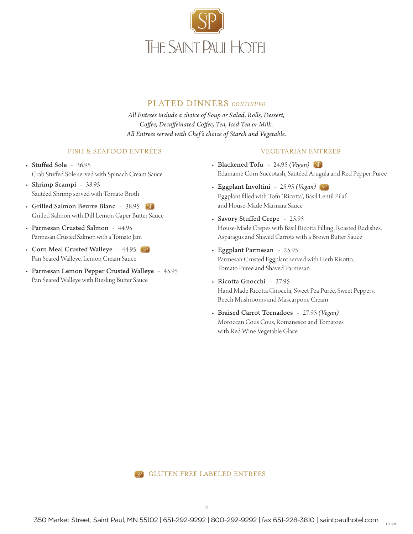![](_page_13_Picture_0.jpeg)

### PLATED DINNERS *CONTINUED*

*All Entrees include a choice of Soup or Salad, Rolls, Dessert, Coffee, Decaffeinated Coffee, Tea, Iced Tea or Milk. All Entrees served with Chef's choice of Starch and Vegetable.*

#### FISH & SEAFOOD ENTRÉES

- Stuffed Sole 36.95 Crab Stuffed Sole served with Spinach Cream Sauce
- Shrimp Scampi 38.95 Sautéed Shrimp served with Tomato Broth
- Grilled Salmon Beurre Blanc 38.95 Grilled Salmon with Dill Lemon Caper Butter Sauce
- Parmesan Crusted Salmon 44.95 Parmesan Crusted Salmon with a Tomato Jam
- Corn Meal Crusted Walleye 44.95 (SP) Pan Seared Walleye, Lemon Cream Sauce
- Parmesan Lemon Pepper Crusted Walleye 45.95 Pan Seared Walleye with Riesling Butter Sauce

#### VEGETARIAN ENTRÉES

- Blackened Tofu 24.95 *(Vegan)* Edamame Corn Succotash, Sautéed Arugula and Red Pepper Purée
- Eggplant Involtini 25.95 *(Vegan)* Eggplant filled with Tofu "Ricotta", Basil Lentil Pilaf and House-Made Marinara Sauce
- Savory Stuffed Crepe 25.95 House-Made Crepes with Basil Ricotta Filling, Roasted Radishes, Asparagus and Shaved Carrots with a Brown Butter Sauce
- Eggplant Parmesan 25.95 Parmesan Crusted Eggplant served with Herb Risotto, Tomato Puree and Shaved Parmesan
- Ricotta Gnocchi 27.95 Hand Made Ricotta Gnocchi, Sweet Pea Purée, Sweet Peppers, Beech Mushrooms and Mascarpone Cream
- Braised Carrot Tornadoes 27.95 *(Vegan)* Moroccan Cous Cous, Romanesco and Tomatoes with Red Wine Vegetable Glace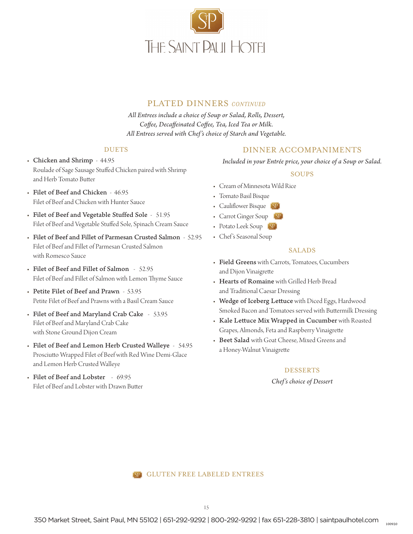![](_page_14_Picture_0.jpeg)

### PLATED DINNERS *CONTINUED*

*All Entrees include a choice of Soup or Salad, Rolls, Dessert, Coffee, Decaffeinated Coffee, Tea, Iced Tea or Milk. All Entrees served with Chef's choice of Starch and Vegetable.*

#### DUETS

- Chicken and Shrimp 44.95 Roulade of Sage Sausage Stuffed Chicken paired with Shrimp and Herb Tomato Butter
- Filet of Beef and Chicken 46.95 Filet of Beef and Chicken with Hunter Sauce
- Filet of Beef and Vegetable Stuffed Sole 51.95 Filet of Beef and Vegetable Stuffed Sole, Spinach Cream Sauce
- Filet of Beef and Fillet of Parmesan Crusted Salmon 52.95 Filet of Beef and Fillet of Parmesan Crusted Salmon with Romesco Sauce
- Filet of Beef and Fillet of Salmon 52.95 Filet of Beef and Fillet of Salmon with Lemon Thyme Sauce
- Petite Filet of Beef and Prawn 53.95 Petite Filet of Beef and Prawns with a Basil Cream Sauce
- Filet of Beef and Maryland Crab Cake 53.95 Filet of Beef and Maryland Crab Cake with Stone Ground Dijon Cream
- Filet of Beef and Lemon Herb Crusted Walleye 54.95 Prosciutto Wrapped Filet of Beef with Red Wine Demi-Glace and Lemon Herb Crusted Walleye
- Filet of Beef and Lobster 69.95 Filet of Beef and Lobster with Drawn Butter

### DINNER ACCOMPANIMENTS

*Included in your Entrée price, your choice of a Soup or Salad.*

#### SOUPS

- Cream of Minnesota Wild Rice
- Tomato Basil Bisque
- Cauliflower Bisque (SP)
- Carrot Ginger Soup (SP)
- Potato Leek Soup (SP)
- Chef's Seasonal Soup

#### SALADS

- Field Greens with Carrots, Tomatoes, Cucumbers and Dijon Vinaigrette
- Hearts of Romaine with Grilled Herb Bread and Traditional Caesar Dressing
- Wedge of Iceberg Lettuce with Diced Eggs, Hardwood Smoked Bacon and Tomatoes served with Buttermilk Dressing
- Kale Lettuce Mix Wrapped in Cucumber with Roasted Grapes, Almonds, Feta and Raspberry Vinaigrette
- Beet Salad with Goat Cheese, Mixed Greens and a Honey-Walnut Vinaigrette

#### DESSERTS

*Chef's choice of Dessert*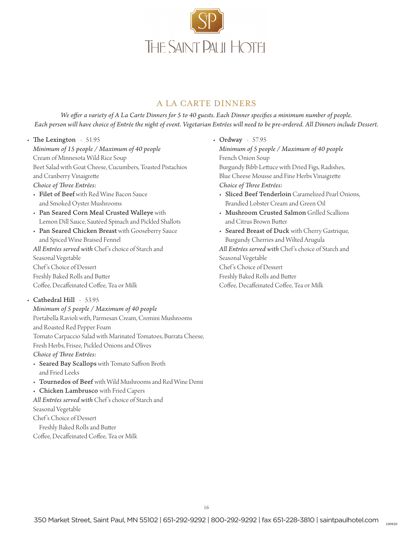![](_page_15_Picture_0.jpeg)

## A LA CARTE DINNERS

*We offer a variety of A La Carte Dinners for 5 to 40 guests. Each Dinner specifies a minimum number of people. Each person will have choice of Entrée the night of event. Vegetarian Entrées will need to be pre-ordered. All Dinners include Dessert.*

- The Lexington 51.95 *Minimum of 15 people / Maximum of 40 people* Cream of Minnesota Wild Rice Soup Beet Salad with Goat Cheese, Cucumbers, Toasted Pistachios and Cranberry Vinaigrette *Choice of Three Entrées:*
	- Filet of Beef with Red Wine Bacon Sauce and Smoked Oyster Mushrooms
	- Pan Seared Corn Meal Crusted Walleye with Lemon Dill Sauce, Sautéed Spinach and Pickled Shallots
	- Pan Seared Chicken Breast with Gooseberry Sauce and Spiced Wine Braised Fennel *All Entrées served with* Chef 's choice of Starch and Seasonal Vegetable Chef 's Choice of Dessert Freshly Baked Rolls and Butter Coffee, Decaffeinated Coffee, Tea or Milk
- Cathedral Hill 53.95
	- *Minimum of 5 people / Maximum of 40 people* Portabella Ravioli with, Parmesan Cream, Cremini Mushrooms and Roasted Red Pepper Foam Tomato Carpaccio Salad with Marinated Tomatoes, Burrata Cheese, Fresh Herbs, Frisee, Pickled Onions and Olives *Choice of Three Entrées:*
	- Seared Bay Scallops with Tomato Saffron Broth and Fried Leeks
	- Tournedos of Beef with Wild Mushrooms and Red Wine Demi
	- Chicken Lambrusco with Fried Capers
	- *All Entrées served with* Chef 's choice of Starch and Seasonal Vegetable Chef 's Choice of Dessert Freshly Baked Rolls and Butter
	- Coffee, Decaffeinated Coffee, Tea or Milk
- Ordway 57.95 *Minimum of 5 people / Maximum of 40 people* French Onion Soup Burgundy Bibb Lettuce with Dried Figs, Radishes, Blue Cheese Mousse and Fine Herbs Vinaigrette *Choice of Three Entrées:*
	- Sliced Beef Tenderloin Caramelized Pearl Onions, Brandied Lobster Cream and Green Oil
	- Mushroom Crusted Salmon Grilled Scallions and Citrus Brown Butter
- Seared Breast of Duck with Cherry Gastrique, Burgundy Cherries and Wilted Arugula *All Entrées served with* Chef 's choice of Starch and Seasonal Vegetable Chef 's Choice of Dessert Freshly Baked Rolls and Butter Coffee, Decaffeinated Coffee, Tea or Milk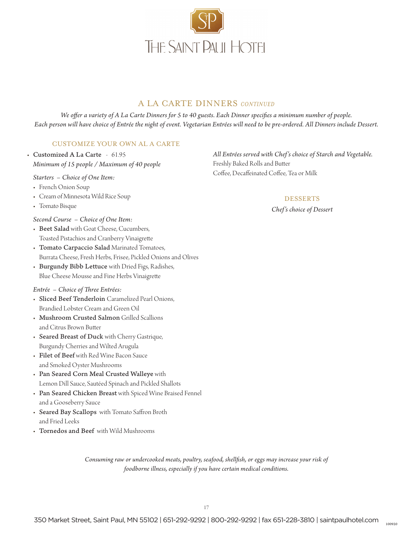![](_page_16_Picture_0.jpeg)

## A LA CARTE DINNERS *CONTINUED*

*We offer a variety of A La Carte Dinners for 5 to 40 guests. Each Dinner specifies a minimum number of people. Each person will have choice of Entrée the night of event. Vegetarian Entrées will need to be pre-ordered. All Dinners include Dessert.*

#### CUSTOMIZE YOUR OWN AL A CARTE

• Customized A La Carte - 61.95 *Minimum of 15 people / Maximum of 40 people*

*Starters – Choice of One Item:*

- French Onion Soup
- Cream of Minnesota Wild Rice Soup
- Tomato Bisque

*Second Course – Choice of One Item:*

- Beet Salad with Goat Cheese, Cucumbers, Toasted Pistachios and Cranberry Vinaigrette
- Tomato Carpaccio Salad Marinated Tomatoes, Burrata Cheese, Fresh Herbs, Frisee, Pickled Onions and Olives
- Burgundy Bibb Lettuce with Dried Figs, Radishes, Blue Cheese Mousse and Fine Herbs Vinaigrette

#### *Entrée – Choice of Three Entrées:*

- Sliced Beef Tenderloin Caramelized Pearl Onions, Brandied Lobster Cream and Green Oil
- Mushroom Crusted Salmon Grilled Scallions and Citrus Brown Butter
- Seared Breast of Duck with Cherry Gastrique, Burgundy Cherries and Wilted Arugula
- Filet of Beef with Red Wine Bacon Sauce and Smoked Oyster Mushrooms
- Pan Seared Corn Meal Crusted Walleye with Lemon Dill Sauce, Sautéed Spinach and Pickled Shallots
- Pan Seared Chicken Breast with Spiced Wine Braised Fennel and a Gooseberry Sauce
- Seared Bay Scallops with Tomato Saffron Broth and Fried Leeks
- Tornedos and Beef with Wild Mushrooms

*Consuming raw or undercooked meats, poultry, seafood, shellfish, or eggs may increase your risk of foodborne illness, especially if you have certain medical conditions.*

*All Entrées served with Chef's choice of Starch and Vegetable.* Freshly Baked Rolls and Butter Coffee, Decaffeinated Coffee, Tea or Milk

#### DESSERTS

*Chef's choice of Dessert*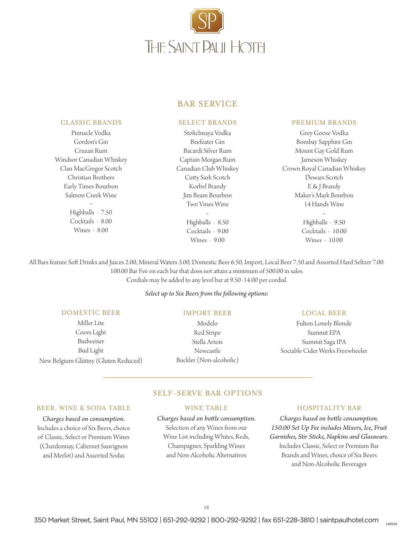![](_page_17_Picture_0.jpeg)

### BAR SERVICE

#### CLASSIC BRANDS

Pinnacle Vodka Gordon's Gin Cruzan Rum Windsor Canadian Whiskey Clan MacGregor Scotch Christian Brothers Early Times Bourbon Salmon Creek Wine ~ Highballs - 7.50 Cocktails - 8.00 Wines - 8.00

#### SELECT BRANDS

Stolichnaya Vodka Beefeater Gin Bacardi Silver Rum Captain Morgan Rum Canadian Club Whiskey Cutty Sark Scotch Korbel Brandy Jim Beam Bourbon Two Vines Wine ~

> Highballs - 8.50 Cocktails - 9.00 Wines - 9.00

#### PREMIUM BRANDS

Grey Goose Vodka Bombay Sapphire Gin Mount Gay Gold Rum Jameson Whiskey Crown Royal Canadian Whiskey Dewars Scotch E & J Brandy Maker's Mark Bourbon 14 Hands Wine

~ Highballs - 9.50 Cocktails - 10.00 Wines - 10.00

All Bars feature Soft Drinks and Juices 2.00, Mineral Waters 3.00, Domestic Beer 6.50, Import, Local Beer 7.50 and Assorted Hard Seltzer 7.00. 100.00 Bar Fee on each bar that does not attain a minimum of 500.00 in sales. Cordials may be added to any level bar at 9.50-14.00 per cordial.

#### *Select up to Six Beers from the following options:*

#### DOMESTIC BEER

Miller Lite Coors Light Budweiser Bud Light New Belgium Glütiny (Gluten Reduced)

#### IMPORT BEER

Modelo Red Stripe Stella Artois Newcastle Buckler (Non-alcoholic)

#### LOCAL BEER

Fulton Lonely Blonde Summit EPA Summit Saga IPA Sociable Cider Werks Freewheeler

#### SELF-SERVE BAR OPTIONS

#### BEER, WINE & SODA TABLE

*Charges based on consumption.* Includes a choice of Six Beers, choice of Classic, Select or Premium Wines (Chardonnay, Cabernet Sauvignon and Merlot) and Assorted Sodas

#### WINE TABLE

## *Charges based on bottle consumption.* Selection of any Wines from our Wine List including Whites, Reds,

# Champagnes, Sparkling Wines and Non-Alcoholic Alternatives

#### HOSPITALITY BAR

*Charges based on bottle consumption. 150.00 Set Up Fee includes Mixers, Ice, Fruit Garnishes, Stir Sticks, Napkins and Glassware.* Includes Classic, Select or Premium Bar Brands and Wines, choice of Six Beers and Non-Alcoholic Beverages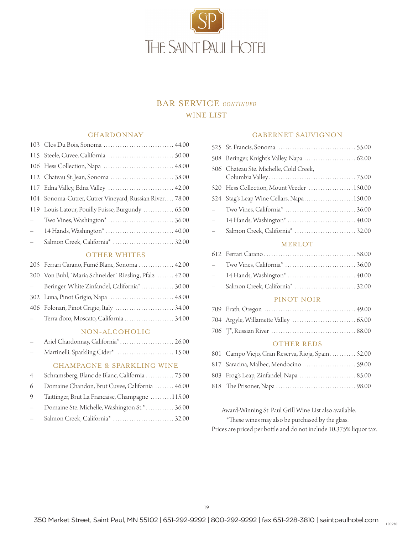![](_page_18_Picture_0.jpeg)

## BAR SERVICE *CONTINUED* WINE LIST

#### **CHARDONNAY**

|               | 103 Clos Du Bois, Sonoma  44.00                         |
|---------------|---------------------------------------------------------|
|               |                                                         |
|               |                                                         |
|               |                                                         |
|               | 117 Edna Valley, Edna Valley  42.00                     |
|               | 104 Sonoma-Cutrer, Cutrer Vineyard, Russian River 78.00 |
|               | 119 Louis Latour, Pouilly Fuisse, Burgundy  65.00       |
| $\frac{1}{2}$ |                                                         |
| $\frac{1}{2}$ | 14 Hands, Washington*  40.00                            |
| $\frac{1}{2}$ |                                                         |
|               |                                                         |

#### OTHER WHITES

| 205 Ferrari Carano, Fumé Blanc, Sonoma  42.00          |
|--------------------------------------------------------|
| 200 Von Buhl, "Maria Schneider" Riesling, Pfalz  42.00 |
| - Beringer, White Zinfandel, California* 30.00         |
| 302 Luna, Pinot Grigio, Napa  48.00                    |
| 406 Folonari, Pinot Grigio, Italy  34.00               |
| - Terra d'oro, Moscato, California  34.00              |
|                                                        |

#### NON-ALCOHOLIC

| $\sim$ $-$ | Ariel Chardonnay, California <sup>*</sup> 26.00 |  |
|------------|-------------------------------------------------|--|
| $\sim$     | Martinelli, Sparkling Cider*  15.00             |  |

#### CHAMPAGNE & SPARKLING WINE

|                                 | 4 Schramsberg, Blanc de Blanc, California  75.00 |
|---------------------------------|--------------------------------------------------|
|                                 | 6 Domaine Chandon, Brut Cuvee, California  46.00 |
| 9                               | Taittinger, Brut La Francaise, Champagne 115.00  |
| $\frac{1}{2}$                   | Domaine Ste. Michelle, Washington St.*  36.00    |
| $\frac{1}{2}$ and $\frac{1}{2}$ |                                                  |

#### CABERNET SAUVIGNON

|                             | 508 Beringer, Knight's Valley, Napa  62.00 |
|-----------------------------|--------------------------------------------|
|                             | 506 Chateau Ste. Michelle, Cold Creek,     |
|                             | 520 Hess Collection, Mount Veeder 150.00   |
|                             | 524 Stag's Leap Wine Cellars, Napa150.00   |
| $\mathcal{L}^{\mathcal{L}}$ |                                            |
|                             | - 14 Hands, Washington*  40.00             |
| $\frac{1}{2}$               |                                            |
|                             | <b>MERLOT</b>                              |

## 612 Ferrari Carano . . . 58.00 – Two Vines, California\* . . . 36.00 – 14 Hands, Washington\* . . 40.00

– Salmon Creek, California\* . . 32.00

#### PINOT NOIR

#### OTHER REDS

| 801 Campo Viejo, Gran Reserva, Rioja, Spain 52.00 |
|---------------------------------------------------|
| 817 Saracina, Malbec, Mendocino  59.00            |
| 803 Frog's Leap, Zinfandel, Napa  85.00           |
|                                                   |

 Award-Winning St. Paul Grill Wine List also available. \*These wines may also be purchased by the glass. Prices are priced per bottle and do not include 10.375% liquor tax.